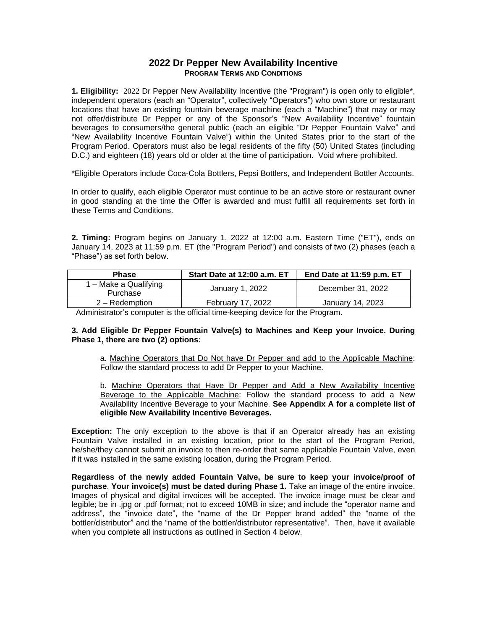## **2022 Dr Pepper New Availability Incentive PROGRAM TERMS AND CONDITIONS**

**1. Eligibility:** 2022 Dr Pepper New Availability Incentive (the "Program") is open only to eligible\*, independent operators (each an "Operator", collectively "Operators") who own store or restaurant locations that have an existing fountain beverage machine (each a "Machine") that may or may not offer/distribute Dr Pepper or any of the Sponsor's "New Availability Incentive" fountain beverages to consumers/the general public (each an eligible "Dr Pepper Fountain Valve" and "New Availability Incentive Fountain Valve") within the United States prior to the start of the Program Period. Operators must also be legal residents of the fifty (50) United States (including D.C.) and eighteen (18) years old or older at the time of participation. Void where prohibited.

\*Eligible Operators include Coca-Cola Bottlers, Pepsi Bottlers, and Independent Bottler Accounts.

In order to qualify, each eligible Operator must continue to be an active store or restaurant owner in good standing at the time the Offer is awarded and must fulfill all requirements set forth in these Terms and Conditions.

**2. Timing:** Program begins on January 1, 2022 at 12:00 a.m. Eastern Time ("ET"), ends on January 14, 2023 at 11:59 p.m. ET (the "Program Period") and consists of two (2) phases (each a "Phase") as set forth below.

| <b>Phase</b>                      | Start Date at 12:00 a.m. ET | End Date at 11:59 p.m. ET |
|-----------------------------------|-----------------------------|---------------------------|
| 1 – Make a Qualifying<br>Purchase | January 1, 2022             | December 31, 2022         |
| 2 – Redemption                    | February 17, 2022           | January 14, 2023          |

Administrator's computer is the official time-keeping device for the Program.

## **3. Add Eligible Dr Pepper Fountain Valve(s) to Machines and Keep your Invoice. During Phase 1, there are two (2) options:**

a. Machine Operators that Do Not have Dr Pepper and add to the Applicable Machine: Follow the standard process to add Dr Pepper to your Machine.

b. Machine Operators that Have Dr Pepper and Add a New Availability Incentive Beverage to the Applicable Machine: Follow the standard process to add a New Availability Incentive Beverage to your Machine. **See Appendix A for a complete list of eligible New Availability Incentive Beverages.**

**Exception:** The only exception to the above is that if an Operator already has an existing Fountain Valve installed in an existing location, prior to the start of the Program Period, he/she/they cannot submit an invoice to then re-order that same applicable Fountain Valve, even if it was installed in the same existing location, during the Program Period.

**Regardless of the newly added Fountain Valve, be sure to keep your invoice/proof of purchase**. **Your invoice(s) must be dated during Phase 1.** Take an image of the entire invoice. Images of physical and digital invoices will be accepted. The invoice image must be clear and legible; be in .jpg or .pdf format; not to exceed 10MB in size; and include the "operator name and address", the "invoice date", the "name of the Dr Pepper brand added" the "name of the bottler/distributor" and the "name of the bottler/distributor representative". Then, have it available when you complete all instructions as outlined in Section 4 below.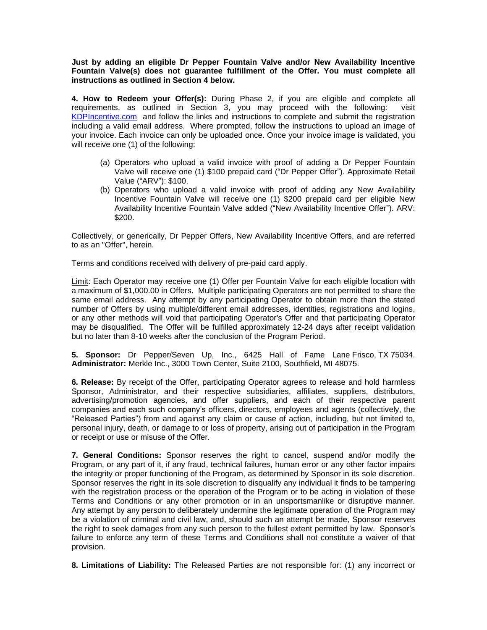**Just by adding an eligible Dr Pepper Fountain Valve and/or New Availability Incentive Fountain Valve(s) does not guarantee fulfillment of the Offer. You must complete all instructions as outlined in Section 4 below.**

**4. How to Redeem your Offer(s):** During Phase 2, if you are eligible and complete all requirements, as outlined in Section 3, you may proceed with the following: visit [KDPIncentive.com](https://www.kdpincentive.com/) and follow the links and instructions to complete and submit the registration including a valid email address. Where prompted, follow the instructions to upload an image of your invoice. Each invoice can only be uploaded once. Once your invoice image is validated, you will receive one (1) of the following:

- (a) Operators who upload a valid invoice with proof of adding a Dr Pepper Fountain Valve will receive one (1) \$100 prepaid card ("Dr Pepper Offer"). Approximate Retail Value ("ARV"): \$100.
- (b) Operators who upload a valid invoice with proof of adding any New Availability Incentive Fountain Valve will receive one (1) \$200 prepaid card per eligible New Availability Incentive Fountain Valve added ("New Availability Incentive Offer"). ARV: \$200.

Collectively, or generically, Dr Pepper Offers, New Availability Incentive Offers, and are referred to as an "Offer", herein.

Terms and conditions received with delivery of pre-paid card apply.

Limit: Each Operator may receive one (1) Offer per Fountain Valve for each eligible location with a maximum of \$1,000.00 in Offers. Multiple participating Operators are not permitted to share the same email address. Any attempt by any participating Operator to obtain more than the stated number of Offers by using multiple/different email addresses, identities, registrations and logins, or any other methods will void that participating Operator's Offer and that participating Operator may be disqualified. The Offer will be fulfilled approximately 12-24 days after receipt validation but no later than 8-10 weeks after the conclusion of the Program Period.

**5. Sponsor:** Dr Pepper/Seven Up, Inc., 6425 Hall of Fame Lane Frisco, TX 75034. **Administrator:** Merkle Inc., 3000 Town Center, Suite 2100, Southfield, MI 48075.

**6. Release:** By receipt of the Offer, participating Operator agrees to release and hold harmless Sponsor, Administrator, and their respective subsidiaries, affiliates, suppliers, distributors, advertising/promotion agencies, and offer suppliers, and each of their respective parent companies and each such company's officers, directors, employees and agents (collectively, the "Released Parties") from and against any claim or cause of action, including, but not limited to, personal injury, death, or damage to or loss of property, arising out of participation in the Program or receipt or use or misuse of the Offer.

**7. General Conditions:** Sponsor reserves the right to cancel, suspend and/or modify the Program, or any part of it, if any fraud, technical failures, human error or any other factor impairs the integrity or proper functioning of the Program, as determined by Sponsor in its sole discretion. Sponsor reserves the right in its sole discretion to disqualify any individual it finds to be tampering with the registration process or the operation of the Program or to be acting in violation of these Terms and Conditions or any other promotion or in an unsportsmanlike or disruptive manner. Any attempt by any person to deliberately undermine the legitimate operation of the Program may be a violation of criminal and civil law, and, should such an attempt be made, Sponsor reserves the right to seek damages from any such person to the fullest extent permitted by law. Sponsor's failure to enforce any term of these Terms and Conditions shall not constitute a waiver of that provision.

**8. Limitations of Liability:** The Released Parties are not responsible for: (1) any incorrect or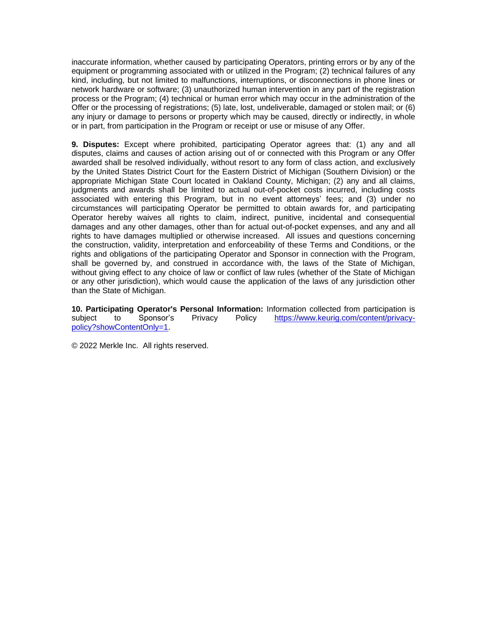inaccurate information, whether caused by participating Operators, printing errors or by any of the equipment or programming associated with or utilized in the Program; (2) technical failures of any kind, including, but not limited to malfunctions, interruptions, or disconnections in phone lines or network hardware or software; (3) unauthorized human intervention in any part of the registration process or the Program; (4) technical or human error which may occur in the administration of the Offer or the processing of registrations; (5) late, lost, undeliverable, damaged or stolen mail; or (6) any injury or damage to persons or property which may be caused, directly or indirectly, in whole or in part, from participation in the Program or receipt or use or misuse of any Offer.

**9. Disputes:** Except where prohibited, participating Operator agrees that: (1) any and all disputes, claims and causes of action arising out of or connected with this Program or any Offer awarded shall be resolved individually, without resort to any form of class action, and exclusively by the United States District Court for the Eastern District of Michigan (Southern Division) or the appropriate Michigan State Court located in Oakland County, Michigan; (2) any and all claims, judgments and awards shall be limited to actual out-of-pocket costs incurred, including costs associated with entering this Program, but in no event attorneys' fees; and (3) under no circumstances will participating Operator be permitted to obtain awards for, and participating Operator hereby waives all rights to claim, indirect, punitive, incidental and consequential damages and any other damages, other than for actual out-of-pocket expenses, and any and all rights to have damages multiplied or otherwise increased. All issues and questions concerning the construction, validity, interpretation and enforceability of these Terms and Conditions, or the rights and obligations of the participating Operator and Sponsor in connection with the Program, shall be governed by, and construed in accordance with, the laws of the State of Michigan, without giving effect to any choice of law or conflict of law rules (whether of the State of Michigan or any other jurisdiction), which would cause the application of the laws of any jurisdiction other than the State of Michigan.

**10. Participating Operator's Personal Information:** Information collected from participation is subject to Sponsor's Privacy Policy [https://www.keurig.com/content/privacy](https://www.keurig.com/content/privacy-policy?showContentOnly=1)[policy?showContentOnly=1.](https://www.keurig.com/content/privacy-policy?showContentOnly=1)

© 2022 Merkle Inc. All rights reserved.